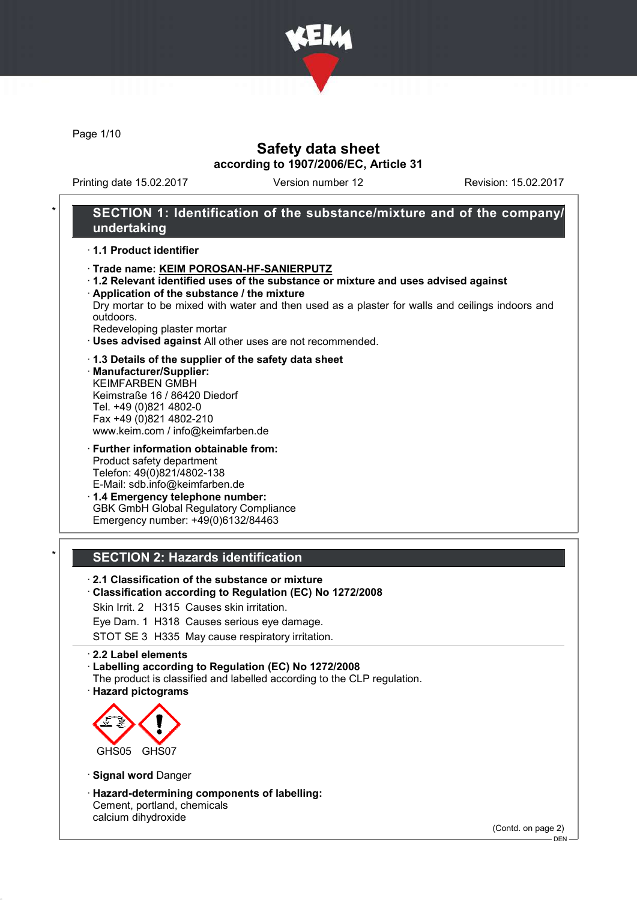

Page 1/10

## Safety data sheet according to 1907/2006/EC, Article 31

Printing date 15.02.2017 Version number 12 Revision: 15.02.2017

### SECTION 1: Identification of the substance/mixture and of the company/ undertaking

· 1.1 Product identifier

- · Trade name: KEIM POROSAN-HF-SANIERPUTZ
- · 1.2 Relevant identified uses of the substance or mixture and uses advised against
- · Application of the substance / the mixture Dry mortar to be mixed with water and then used as a plaster for walls and ceilings indoors and outdoors.
- Redeveloping plaster mortar
- · Uses advised against All other uses are not recommended.
- · 1.3 Details of the supplier of the safety data sheet
- · Manufacturer/Supplier: KEIMFARBEN GMBH Keimstraße 16 / 86420 Diedorf Tel. +49 (0)821 4802-0 Fax +49 (0)821 4802-210 www.keim.com / info@keimfarben.de
- · Further information obtainable from: Product safety department Telefon: 49(0)821/4802-138 E-Mail: sdb.info@keimfarben.de · 1.4 Emergency telephone number:

GBK GmbH Global Regulatory Compliance Emergency number: +49(0)6132/84463

### **SECTION 2: Hazards identification**

· 2.1 Classification of the substance or mixture

- · Classification according to Regulation (EC) No 1272/2008
- Skin Irrit. 2 H315 Causes skin irritation.
- Eye Dam. 1 H318 Causes serious eye damage.

STOT SE 3 H335 May cause respiratory irritation.

· 2.2 Label elements

- · Labelling according to Regulation (EC) No 1272/2008
- The product is classified and labelled according to the CLP regulation.
- · Hazard pictograms



· Signal word Danger

· Hazard-determining components of labelling: Cement, portland, chemicals calcium dihydroxide

(Contd. on page 2)

 $-$  DEN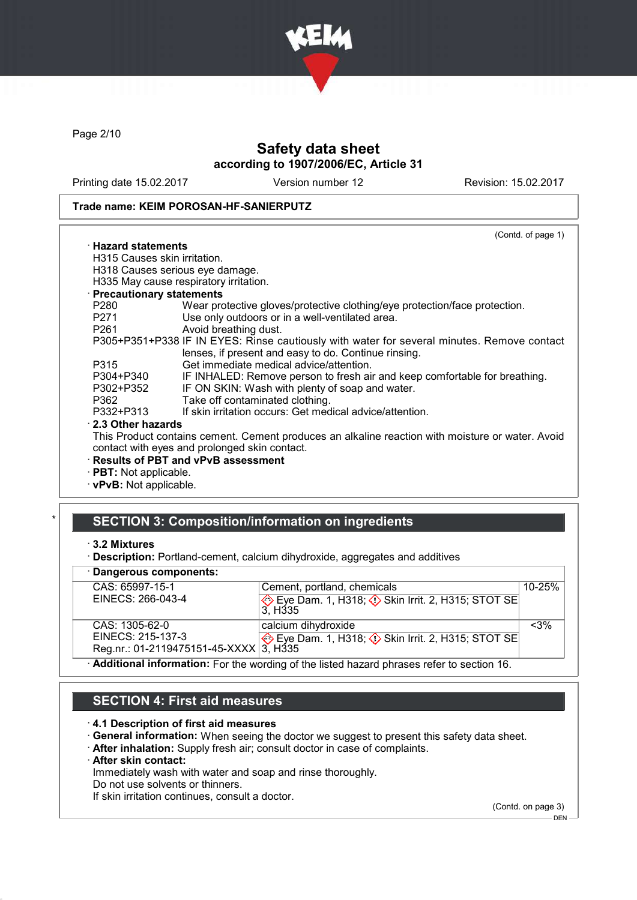

Page 2/10

## Safety data sheet according to 1907/2006/EC, Article 31

Printing date 15.02.2017 Version number 12 Revision: 15.02.2017

#### Trade name: KEIM POROSAN-HF-SANIERPUTZ

|                                | (Contd. of page 1)                                                                                                                                 |
|--------------------------------|----------------------------------------------------------------------------------------------------------------------------------------------------|
| $\cdot$ Hazard statements      |                                                                                                                                                    |
| H315 Causes skin irritation.   |                                                                                                                                                    |
|                                | H318 Causes serious eye damage.                                                                                                                    |
|                                | H335 May cause respiratory irritation.                                                                                                             |
| · Precautionary statements     |                                                                                                                                                    |
| P280                           | Wear protective gloves/protective clothing/eye protection/face protection.                                                                         |
| P271                           | Use only outdoors or in a well-ventilated area.                                                                                                    |
| P261 and the P261 and the P261 | Avoid breathing dust.                                                                                                                              |
|                                | P305+P351+P338 IF IN EYES: Rinse cautiously with water for several minutes. Remove contact<br>lenses, if present and easy to do. Continue rinsing. |
| P315                           | Get immediate medical advice/attention.                                                                                                            |
| P304+P340                      | IF INHALED: Remove person to fresh air and keep comfortable for breathing.                                                                         |
| P302+P352                      | IF ON SKIN: Wash with plenty of soap and water.                                                                                                    |
| P362                           | Take off contaminated clothing.                                                                                                                    |
| P332+P313                      | If skin irritation occurs: Get medical advice/attention.                                                                                           |
| 2.3 Other hazards              |                                                                                                                                                    |
|                                | This Product contains cement. Cement produces an alkaline reaction with moisture or water. Avoid                                                   |
|                                | contact with eyes and prolonged skin contact.                                                                                                      |
|                                | · Results of PBT and vPvB assessment                                                                                                               |
| $\cdot$ PBT: Not applicable.   |                                                                                                                                                    |
| $\cdot$ vPvB: Not applicable.  |                                                                                                                                                    |
|                                |                                                                                                                                                    |

### SECTION 3: Composition/information on ingredients

#### · Dangerous components:

| CAS: 65997-15-1                        | Cement, portland, chemicals                                                                       | $10 - 25%$ |  |
|----------------------------------------|---------------------------------------------------------------------------------------------------|------------|--|
| EINECS: 266-043-4                      | Eye Dam. 1, H318; $\Diamond$ Skin Irrit. 2, H315; STOT SE<br>3. H335                              |            |  |
|                                        |                                                                                                   |            |  |
| CAS: 1305-62-0                         | calcium dihydroxide                                                                               | $< 3\%$    |  |
| EINECS: 215-137-3                      | Eye Dam. 1, H318; $\Diamond$ Skin Irrit. 2, H315; STOT SE                                         |            |  |
| Reg.nr.: 01-2119475151-45-XXXX 3, H335 |                                                                                                   |            |  |
|                                        | $\cdot$ Additional information: Ear the wording of the listed because phrases refer to section 16 |            |  |

· Additional information: For the wording of the listed hazard phrases refer to section 16.

### SECTION 4: First aid measures

#### · 4.1 Description of first aid measures

- · General information: When seeing the doctor we suggest to present this safety data sheet.
- · After inhalation: Supply fresh air; consult doctor in case of complaints.
- · After skin contact:

Immediately wash with water and soap and rinse thoroughly.

Do not use solvents or thinners.

If skin irritation continues, consult a doctor.

(Contd. on page 3)  $-$  DEN  $-$ 

<sup>·</sup> 3.2 Mixtures

<sup>·</sup> Description: Portland-cement, calcium dihydroxide, aggregates and additives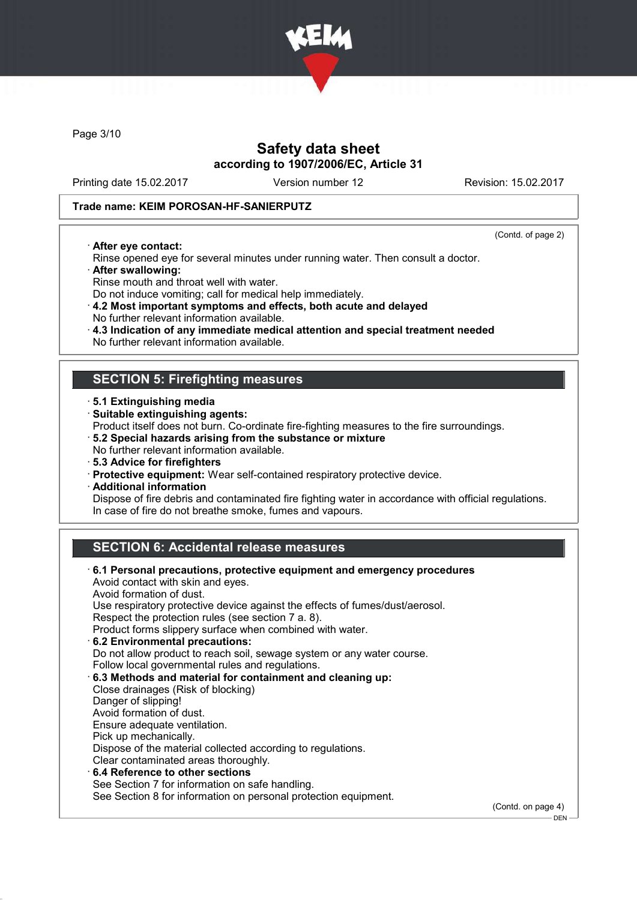

Page 3/10

## Safety data sheet according to 1907/2006/EC, Article 31

Printing date 15.02.2017 Version number 12 Revision: 15.02.2017

#### Trade name: KEIM POROSAN-HF-SANIERPUTZ

· After eye contact:

(Contd. of page 2)

.<br>– DEN -

- Rinse opened eye for several minutes under running water. Then consult a doctor. · After swallowing:
- 
- Rinse mouth and throat well with water. Do not induce vomiting; call for medical help immediately.
- · 4.2 Most important symptoms and effects, both acute and delayed
- No further relevant information available.
- · 4.3 Indication of any immediate medical attention and special treatment needed
- No further relevant information available.

### SECTION 5: Firefighting measures

- · 5.1 Extinguishing media
- · Suitable extinguishing agents:
- Product itself does not burn. Co-ordinate fire-fighting measures to the fire surroundings.
- · 5.2 Special hazards arising from the substance or mixture
- No further relevant information available.
- · 5.3 Advice for firefighters
- · Protective equipment: Wear self-contained respiratory protective device.
- · Additional information

Dispose of fire debris and contaminated fire fighting water in accordance with official regulations. In case of fire do not breathe smoke, fumes and vapours.

## SECTION 6: Accidental release measures

| $\cdot$ 6.1 Personal precautions, protective equipment and emergency procedures<br>Avoid contact with skin and eyes. |                    |
|----------------------------------------------------------------------------------------------------------------------|--------------------|
| Avoid formation of dust.                                                                                             |                    |
| Use respiratory protective device against the effects of fumes/dust/aerosol.                                         |                    |
| Respect the protection rules (see section 7 a. 8).                                                                   |                    |
| Product forms slippery surface when combined with water.                                                             |                    |
| 6.2 Environmental precautions:                                                                                       |                    |
| Do not allow product to reach soil, sewage system or any water course.                                               |                    |
| Follow local governmental rules and regulations.                                                                     |                    |
| 6.3 Methods and material for containment and cleaning up:                                                            |                    |
| Close drainages (Risk of blocking)                                                                                   |                    |
| Danger of slipping!                                                                                                  |                    |
| Avoid formation of dust.                                                                                             |                    |
| Ensure adequate ventilation.                                                                                         |                    |
| Pick up mechanically.                                                                                                |                    |
| Dispose of the material collected according to regulations.                                                          |                    |
| Clear contaminated areas thoroughly.                                                                                 |                    |
| 6.4 Reference to other sections                                                                                      |                    |
| See Section 7 for information on safe handling.                                                                      |                    |
| See Section 8 for information on personal protection equipment.                                                      |                    |
|                                                                                                                      | (Contd. on page 4) |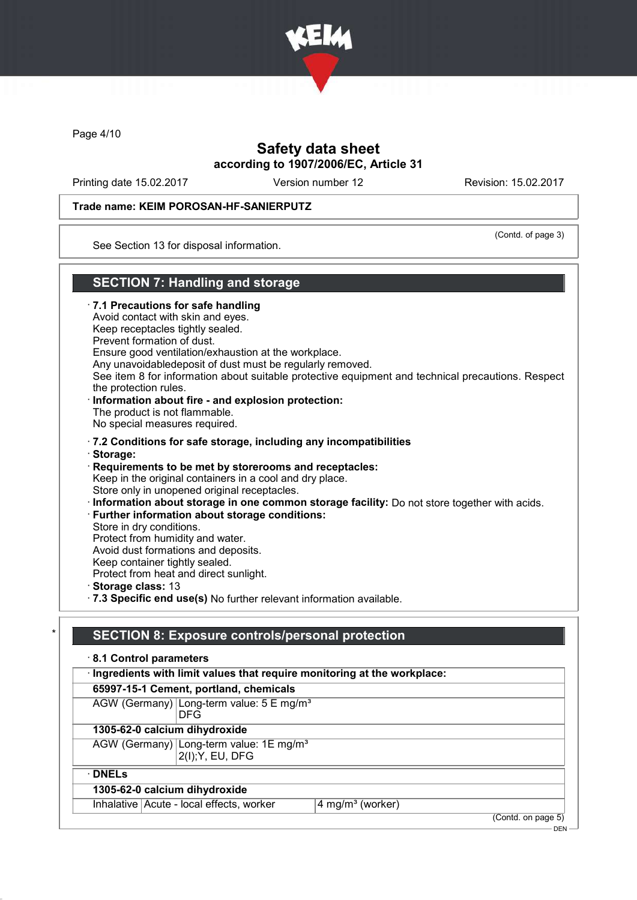

Page 4/10

## Safety data sheet according to 1907/2006/EC, Article 31

Printing date 15.02.2017 Version number 12 Revision: 15.02.2017

#### Trade name: KEIM POROSAN-HF-SANIERPUTZ

(Contd. of page 3)

See Section 13 for disposal information.

### SECTION 7: Handling and storage

· 7.1 Precautions for safe handling Avoid contact with skin and eyes. Keep receptacles tightly sealed. Prevent formation of dust. Ensure good ventilation/exhaustion at the workplace. Any unavoidabledeposit of dust must be regularly removed. See item 8 for information about suitable protective equipment and technical precautions. Respect the protection rules. · Information about fire - and explosion protection: The product is not flammable. No special measures required. · 7.2 Conditions for safe storage, including any incompatibilities · Storage: · Requirements to be met by storerooms and receptacles: Keep in the original containers in a cool and dry place. Store only in unopened original receptacles. · Information about storage in one common storage facility: Do not store together with acids. · Further information about storage conditions: Store in dry conditions. Protect from humidity and water. Avoid dust formations and deposits. Keep container tightly sealed. Protect from heat and direct sunlight. · Storage class: 13 · 7.3 Specific end use(s) No further relevant information available.

## SECTION 8: Exposure controls/personal protection

| 8.1 Control parameters                                                    |  |                                                                         |                              |  |                    |
|---------------------------------------------------------------------------|--|-------------------------------------------------------------------------|------------------------------|--|--------------------|
| · Ingredients with limit values that require monitoring at the workplace: |  |                                                                         |                              |  |                    |
|                                                                           |  | 65997-15-1 Cement, portland, chemicals                                  |                              |  |                    |
|                                                                           |  | AGW (Germany) Long-term value: 5 E mg/m <sup>3</sup><br><b>DFG</b>      |                              |  |                    |
|                                                                           |  | 1305-62-0 calcium dihydroxide                                           |                              |  |                    |
|                                                                           |  | AGW (Germany) Long-term value: 1E mg/m <sup>3</sup><br>2(I); Y, EU, DFG |                              |  |                    |
| $\cdot$ DNELs                                                             |  |                                                                         |                              |  |                    |
|                                                                           |  | 1305-62-0 calcium dihydroxide                                           |                              |  |                    |
|                                                                           |  | Inhalative Acute - local effects, worker                                | 4 mg/m <sup>3</sup> (worker) |  |                    |
|                                                                           |  |                                                                         |                              |  | (Contd. on page 5) |

 $-$  DEN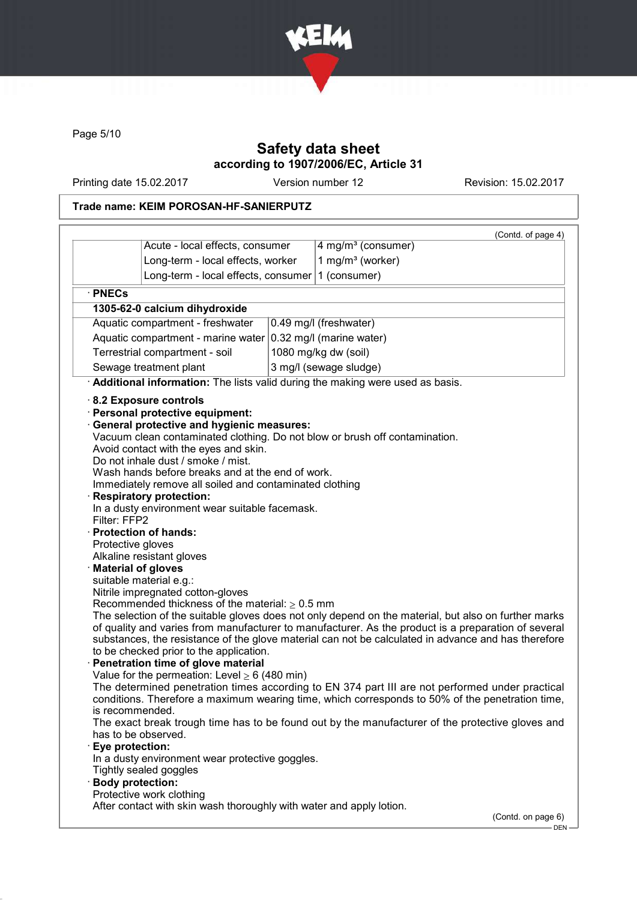

Page 5/10

## Safety data sheet according to 1907/2006/EC, Article 31

Printing date 15.02.2017 Version number 12 Revision: 15.02.2017

## Trade name: KEIM POROSAN-HF-SANIERPUTZ

|                                                                                                   | Acute - local effects, consumer                                                                                                                                                                                                                                                                                                                                                                                                                                                                                                                                                                                                                                                                                                                                                                     |  | (Contd. of page 4)<br>4 mg/m <sup>3</sup> (consumer)                                                                                                                                                                                                                                                                                                                                                                                                                                                                                                                                                                                                                                                        |  |
|---------------------------------------------------------------------------------------------------|-----------------------------------------------------------------------------------------------------------------------------------------------------------------------------------------------------------------------------------------------------------------------------------------------------------------------------------------------------------------------------------------------------------------------------------------------------------------------------------------------------------------------------------------------------------------------------------------------------------------------------------------------------------------------------------------------------------------------------------------------------------------------------------------------------|--|-------------------------------------------------------------------------------------------------------------------------------------------------------------------------------------------------------------------------------------------------------------------------------------------------------------------------------------------------------------------------------------------------------------------------------------------------------------------------------------------------------------------------------------------------------------------------------------------------------------------------------------------------------------------------------------------------------------|--|
|                                                                                                   | Long-term - local effects, worker                                                                                                                                                                                                                                                                                                                                                                                                                                                                                                                                                                                                                                                                                                                                                                   |  | 1 mg/m <sup>3</sup> (worker)                                                                                                                                                                                                                                                                                                                                                                                                                                                                                                                                                                                                                                                                                |  |
| Long-term - local effects, consumer                                                               |                                                                                                                                                                                                                                                                                                                                                                                                                                                                                                                                                                                                                                                                                                                                                                                                     |  | 1 (consumer)                                                                                                                                                                                                                                                                                                                                                                                                                                                                                                                                                                                                                                                                                                |  |
|                                                                                                   |                                                                                                                                                                                                                                                                                                                                                                                                                                                                                                                                                                                                                                                                                                                                                                                                     |  |                                                                                                                                                                                                                                                                                                                                                                                                                                                                                                                                                                                                                                                                                                             |  |
| · PNECs                                                                                           |                                                                                                                                                                                                                                                                                                                                                                                                                                                                                                                                                                                                                                                                                                                                                                                                     |  |                                                                                                                                                                                                                                                                                                                                                                                                                                                                                                                                                                                                                                                                                                             |  |
|                                                                                                   | 1305-62-0 calcium dihydroxide                                                                                                                                                                                                                                                                                                                                                                                                                                                                                                                                                                                                                                                                                                                                                                       |  |                                                                                                                                                                                                                                                                                                                                                                                                                                                                                                                                                                                                                                                                                                             |  |
|                                                                                                   | Aquatic compartment - freshwater                                                                                                                                                                                                                                                                                                                                                                                                                                                                                                                                                                                                                                                                                                                                                                    |  | 0.49 mg/l (freshwater)                                                                                                                                                                                                                                                                                                                                                                                                                                                                                                                                                                                                                                                                                      |  |
|                                                                                                   | Aquatic compartment - marine water                                                                                                                                                                                                                                                                                                                                                                                                                                                                                                                                                                                                                                                                                                                                                                  |  | 0.32 mg/l (marine water)                                                                                                                                                                                                                                                                                                                                                                                                                                                                                                                                                                                                                                                                                    |  |
| Terrestrial compartment - soil                                                                    |                                                                                                                                                                                                                                                                                                                                                                                                                                                                                                                                                                                                                                                                                                                                                                                                     |  | 1080 mg/kg dw (soil)                                                                                                                                                                                                                                                                                                                                                                                                                                                                                                                                                                                                                                                                                        |  |
| Sewage treatment plant                                                                            |                                                                                                                                                                                                                                                                                                                                                                                                                                                                                                                                                                                                                                                                                                                                                                                                     |  | 3 mg/l (sewage sludge)                                                                                                                                                                                                                                                                                                                                                                                                                                                                                                                                                                                                                                                                                      |  |
|                                                                                                   |                                                                                                                                                                                                                                                                                                                                                                                                                                                                                                                                                                                                                                                                                                                                                                                                     |  | Additional information: The lists valid during the making were used as basis.                                                                                                                                                                                                                                                                                                                                                                                                                                                                                                                                                                                                                               |  |
| Filter: FFP2<br>Protective gloves<br>is recommended.<br>Eye protection:<br>Tightly sealed goggles | · Personal protective equipment:<br><b>General protective and hygienic measures:</b><br>Avoid contact with the eyes and skin.<br>Do not inhale dust / smoke / mist.<br>Wash hands before breaks and at the end of work.<br>Immediately remove all soiled and contaminated clothing<br><b>Respiratory protection:</b><br>In a dusty environment wear suitable facemask.<br>· Protection of hands:<br>Alkaline resistant gloves<br><b>Material of gloves</b><br>suitable material e.g.:<br>Nitrile impregnated cotton-gloves<br>Recommended thickness of the material: $\geq 0.5$ mm<br>to be checked prior to the application.<br>Penetration time of glove material<br>Value for the permeation: Level $\geq 6$ (480 min)<br>has to be observed.<br>In a dusty environment wear protective goggles. |  | Vacuum clean contaminated clothing. Do not blow or brush off contamination.<br>The selection of the suitable gloves does not only depend on the material, but also on further marks<br>of quality and varies from manufacturer to manufacturer. As the product is a preparation of several<br>substances, the resistance of the glove material can not be calculated in advance and has therefore<br>The determined penetration times according to EN 374 part III are not performed under practical<br>conditions. Therefore a maximum wearing time, which corresponds to 50% of the penetration time,<br>The exact break trough time has to be found out by the manufacturer of the protective gloves and |  |

DEN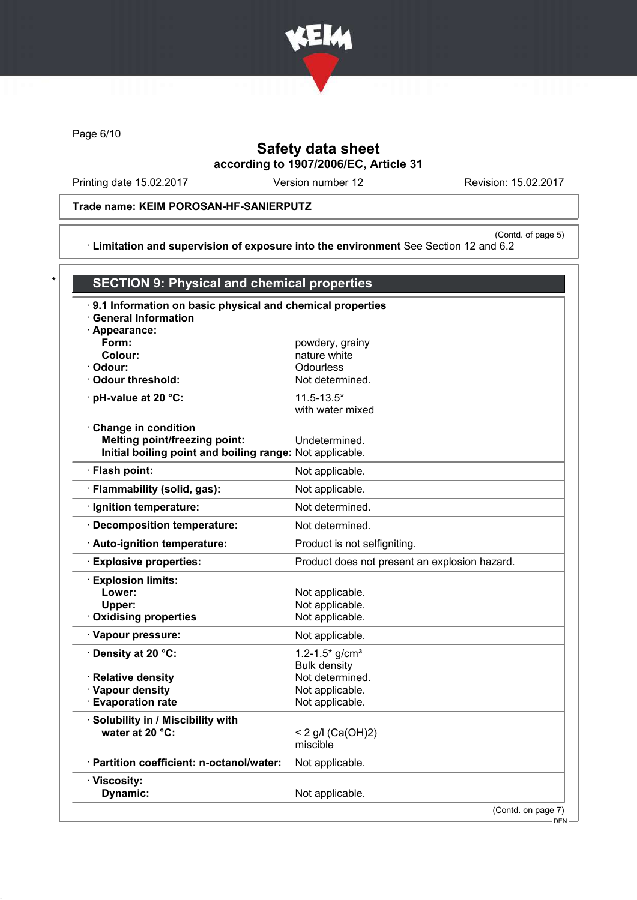

Page 6/10

# Safety data sheet according to 1907/2006/EC, Article 31

Printing date 15.02.2017 Version number 12 Revision: 15.02.2017

### Trade name: KEIM POROSAN-HF-SANIERPUTZ

(Contd. of page 5) · Limitation and supervision of exposure into the environment See Section 12 and 6.2

| .9.1 Information on basic physical and chemical properties<br><b>General Information</b> |                                               |  |
|------------------------------------------------------------------------------------------|-----------------------------------------------|--|
| · Appearance:                                                                            |                                               |  |
| Form:                                                                                    | powdery, grainy                               |  |
| Colour:                                                                                  | nature white                                  |  |
| · Odour:                                                                                 | <b>Odourless</b>                              |  |
| Odour threshold:                                                                         | Not determined.                               |  |
| · pH-value at 20 °C:                                                                     | $11.5 - 13.5*$                                |  |
|                                                                                          | with water mixed                              |  |
| Change in condition                                                                      |                                               |  |
| <b>Melting point/freezing point:</b>                                                     | Undetermined.                                 |  |
| Initial boiling point and boiling range: Not applicable.                                 |                                               |  |
| · Flash point:                                                                           | Not applicable.                               |  |
| · Flammability (solid, gas):                                                             | Not applicable.                               |  |
| · Ignition temperature:                                                                  | Not determined.                               |  |
| · Decomposition temperature:                                                             | Not determined.                               |  |
| · Auto-ignition temperature:                                                             | Product is not selfigniting.                  |  |
| · Explosive properties:                                                                  | Product does not present an explosion hazard. |  |
| <b>Explosion limits:</b>                                                                 |                                               |  |
| Lower:                                                                                   | Not applicable.                               |  |
| Upper:                                                                                   | Not applicable.                               |  |
| <b>Oxidising properties</b>                                                              | Not applicable.                               |  |
| · Vapour pressure:                                                                       | Not applicable.                               |  |
| · Density at 20 °C:                                                                      | 1.2-1.5* $g/cm^{3}$                           |  |
|                                                                                          | <b>Bulk density</b>                           |  |
| · Relative density                                                                       | Not determined.                               |  |
| · Vapour density                                                                         | Not applicable.                               |  |
| <b>Evaporation rate</b>                                                                  | Not applicable.                               |  |
| · Solubility in / Miscibility with                                                       |                                               |  |
| water at 20 °C:                                                                          | < 2 g/l (Ca(OH)2)                             |  |
|                                                                                          | miscible                                      |  |
| · Partition coefficient: n-octanol/water:                                                | Not applicable.                               |  |
| · Viscosity:                                                                             |                                               |  |
| Dynamic:                                                                                 | Not applicable.                               |  |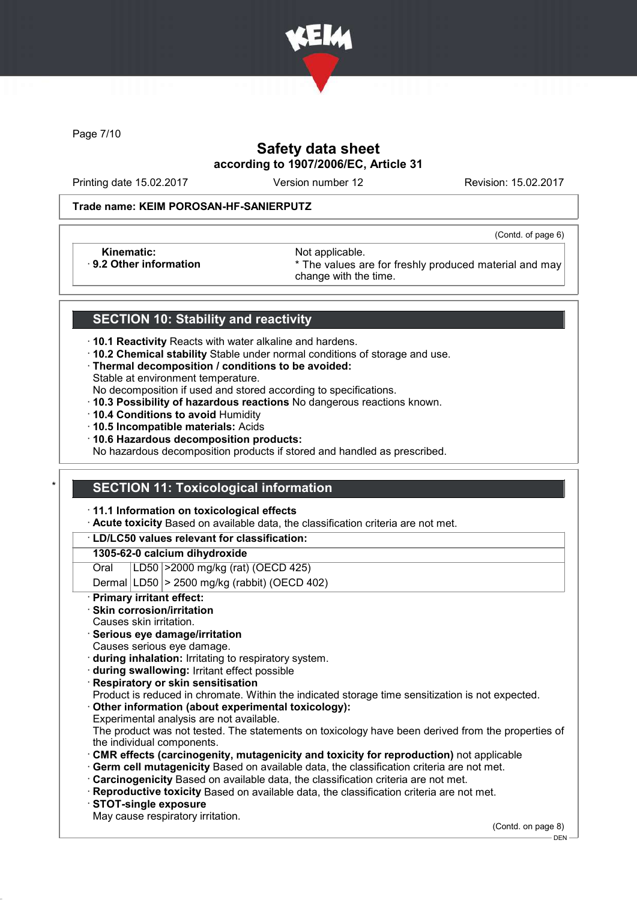

Page 7/10

## Safety data sheet according to 1907/2006/EC, Article 31

Printing date 15.02.2017 Version number 12 Revision: 15.02.2017

(Contd. of page 6)

#### Trade name: KEIM POROSAN-HF-SANIERPUTZ

Kinematic: Not applicable.<br>
9.2 Other information **Accord 1989** The values are

\* The values are for freshly produced material and may change with the time.

### SECTION 10: Stability and reactivity

- · 10.1 Reactivity Reacts with water alkaline and hardens.
- · 10.2 Chemical stability Stable under normal conditions of storage and use.
- · Thermal decomposition / conditions to be avoided:
- Stable at environment temperature.
- No decomposition if used and stored according to specifications.
- · 10.3 Possibility of hazardous reactions No dangerous reactions known.
- · 10.4 Conditions to avoid Humidity
- · 10.5 Incompatible materials: Acids
- · 10.6 Hazardous decomposition products:

No hazardous decomposition products if stored and handled as prescribed.

### **SECTION 11: Toxicological information**

· 11.1 Information on toxicological effects

· Acute toxicity Based on available data, the classification criteria are not met.

#### · LD/LC50 values relevant for classification:

#### 1305-62-0 calcium dihydroxide

Oral LD50 >2000 mg/kg (rat) (OECD 425)

Dermal  $|LD50|$  > 2500 mg/kg (rabbit) (OECD 402)

Primary irritant effect:

#### Skin corrosion/irritation

- Causes skin irritation.
- · Serious eye damage/irritation
- Causes serious eye damage.
- · during inhalation: Irritating to respiratory system.
- · during swallowing: Irritant effect possible
- **Respiratory or skin sensitisation**
- Product is reduced in chromate. Within the indicated storage time sensitization is not expected.
- Other information (about experimental toxicology):
- Experimental analysis are not available.

The product was not tested. The statements on toxicology have been derived from the properties of the individual components.

- · CMR effects (carcinogenity, mutagenicity and toxicity for reproduction) not applicable
- Germ cell mutagenicity Based on available data, the classification criteria are not met.
- · Carcinogenicity Based on available data, the classification criteria are not met.
- · Reproductive toxicity Based on available data, the classification criteria are not met.
- · STOT-single exposure
- May cause respiratory irritation.

(Contd. on page 8)

DEN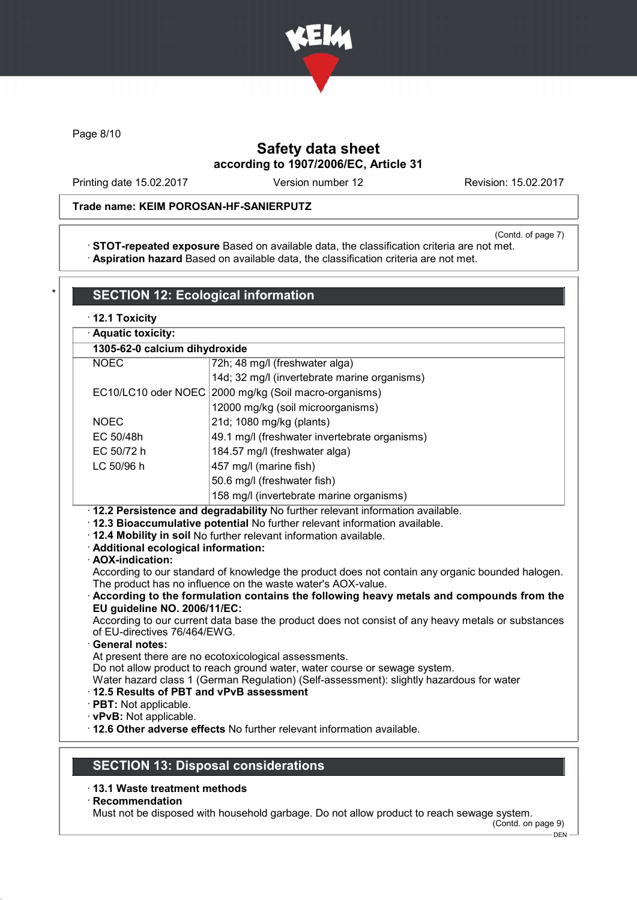

Page 8/10

## Safety data sheet according to 1907/2006/EC, Article 31

Printing date 15.02.2017 Version number 12 Revision: 15.02.2017

### Trade name: KEIM POROSAN-HF-SANIERPUTZ

(Contd. of page 7)

· STOT-repeated exposure Based on available data, the classification criteria are not met. · Aspiration hazard Based on available data, the classification criteria are not met.

| 1305-62-0 calcium dihydroxide                                                                                                    |                                                                                                                                                                                                                                                                                                                                                                                                                                                                                                                                                                                                     |
|----------------------------------------------------------------------------------------------------------------------------------|-----------------------------------------------------------------------------------------------------------------------------------------------------------------------------------------------------------------------------------------------------------------------------------------------------------------------------------------------------------------------------------------------------------------------------------------------------------------------------------------------------------------------------------------------------------------------------------------------------|
| <b>NOEC</b>                                                                                                                      | 72h; 48 mg/l (freshwater alga)                                                                                                                                                                                                                                                                                                                                                                                                                                                                                                                                                                      |
|                                                                                                                                  | 14d; 32 mg/l (invertebrate marine organisms)                                                                                                                                                                                                                                                                                                                                                                                                                                                                                                                                                        |
|                                                                                                                                  | EC10/LC10 oder NOEC 2000 mg/kg (Soil macro-organisms)                                                                                                                                                                                                                                                                                                                                                                                                                                                                                                                                               |
|                                                                                                                                  | 12000 mg/kg (soil microorganisms)                                                                                                                                                                                                                                                                                                                                                                                                                                                                                                                                                                   |
| <b>NOEC</b>                                                                                                                      | 21d; 1080 mg/kg (plants)                                                                                                                                                                                                                                                                                                                                                                                                                                                                                                                                                                            |
| EC 50/48h                                                                                                                        | 49.1 mg/l (freshwater invertebrate organisms)                                                                                                                                                                                                                                                                                                                                                                                                                                                                                                                                                       |
| EC 50/72 h                                                                                                                       | 184.57 mg/l (freshwater alga)                                                                                                                                                                                                                                                                                                                                                                                                                                                                                                                                                                       |
| LC 50/96 h                                                                                                                       | 457 mg/l (marine fish)                                                                                                                                                                                                                                                                                                                                                                                                                                                                                                                                                                              |
|                                                                                                                                  | 50.6 mg/l (freshwater fish)                                                                                                                                                                                                                                                                                                                                                                                                                                                                                                                                                                         |
|                                                                                                                                  | 158 mg/l (invertebrate marine organisms)                                                                                                                                                                                                                                                                                                                                                                                                                                                                                                                                                            |
| · Additional ecological information:<br>· AOX-indication:                                                                        | · 12.4 Mobility in soil No further relevant information available.                                                                                                                                                                                                                                                                                                                                                                                                                                                                                                                                  |
| EU guideline NO. 2006/11/EC:<br>of EU-directives 76/464/EWG.<br><b>General notes:</b><br>12.5 Results of PBT and vPvB assessment | According to our standard of knowledge the product does not contain any organic bounded halogen.<br>The product has no influence on the waste water's AOX-value.<br>According to the formulation contains the following heavy metals and compounds from the<br>According to our current data base the product does not consist of any heavy metals or substances<br>At present there are no ecotoxicological assessments.<br>Do not allow product to reach ground water, water course or sewage system.<br>Water hazard class 1 (German Regulation) (Self-assessment): slightly hazardous for water |

- · 13.1 Waste treatment methods
- · Recommendation

Must not be disposed with household garbage. Do not allow product to reach sewage system.

(Contd. on page 9)  $-$  DEN  $-$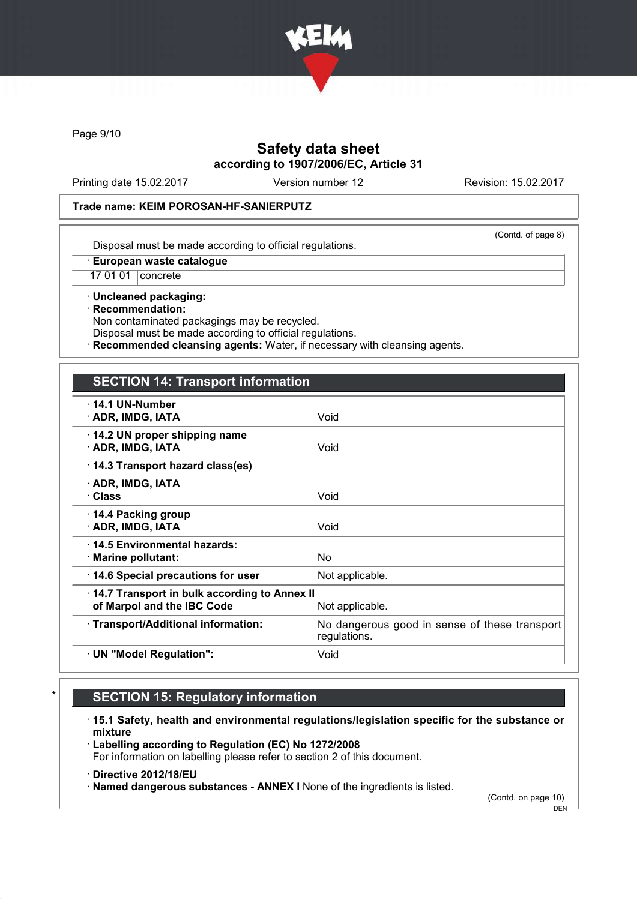

Page 9/10

## Safety data sheet according to 1907/2006/EC, Article 31

Printing date 15.02.2017 Version number 12 Revision: 15.02.2017

#### Trade name: KEIM POROSAN-HF-SANIERPUTZ

(Contd. of page 8)

Disposal must be made according to official regulations.

· European waste catalogue

17 01 01 concrete

· Uncleaned packaging: · Recommendation: Non contaminated packagings may be recycled.

Disposal must be made according to official regulations.

Recommended cleansing agents: Water, if necessary with cleansing agents.

### SECTION 14: Transport information

| $\cdot$ 14.1 UN-Number<br>· ADR, IMDG, IATA                                | Void                                                          |
|----------------------------------------------------------------------------|---------------------------------------------------------------|
| 14.2 UN proper shipping name<br>· ADR, IMDG, IATA                          | Void                                                          |
| 14.3 Transport hazard class(es)                                            |                                                               |
| · ADR, IMDG, IATA<br>· Class                                               | Void                                                          |
| $\cdot$ 14.4 Packing group<br>· ADR, IMDG, IATA                            | Void                                                          |
| 14.5 Environmental hazards:<br>$\cdot$ Marine pollutant:                   | No.                                                           |
| 14.6 Special precautions for user                                          | Not applicable.                                               |
| 14.7 Transport in bulk according to Annex II<br>of Marpol and the IBC Code | Not applicable.                                               |
| · Transport/Additional information:                                        | No dangerous good in sense of these transport<br>regulations. |
| · UN "Model Regulation":                                                   | Void                                                          |
|                                                                            |                                                               |

# **SECTION 15: Regulatory information**

· 15.1 Safety, health and environmental regulations/legislation specific for the substance or mixture

· Labelling according to Regulation (EC) No 1272/2008 For information on labelling please refer to section 2 of this document.

· Directive 2012/18/EU

· Named dangerous substances - ANNEX I None of the ingredients is listed.

(Contd. on page 10)

 $-$  DEN